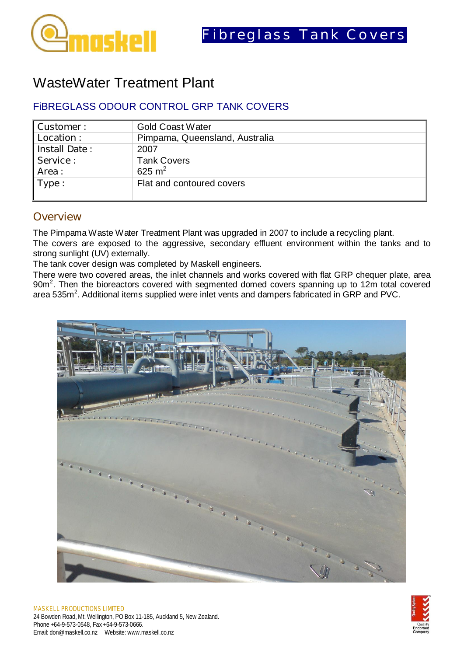

## WasteWater Treatment Plant

## FiBREGLASS ODOUR CONTROL GRP TANK COVERS

| Customer:            | <b>Gold Coast Water</b>        |
|----------------------|--------------------------------|
| Location:            | Pimpama, Queensland, Australia |
| <b>Install Date:</b> | 2007                           |
| Service:             | <b>Tank Covers</b>             |
| Area:                | 625 m <sup>2</sup>             |
| Type:                | Flat and contoured covers      |
|                      |                                |

## **Overview**

The Pimpama Waste Water Treatment Plant was upgraded in 2007 to include a recycling plant. The covers are exposed to the aggressive, secondary effluent environment within the tanks and to strong sunlight (UV) externally.

The tank cover design was completed by Maskell engineers.

There were two covered areas, the inlet channels and works covered with flat GRP chequer plate, area  $90m<sup>2</sup>$ . Then the bioreactors covered with segmented domed covers spanning up to 12m total covered area 535m<sup>2</sup>. Additional items supplied were inlet vents and dampers fabricated in GRP and PVC.